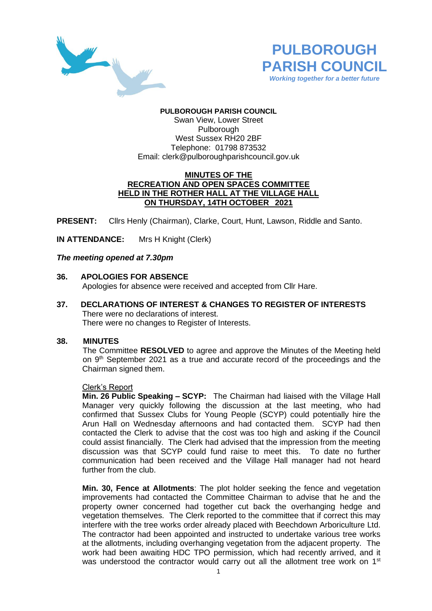



# **PULBOROUGH PARISH COUNCIL**

Swan View, Lower Street Pulborough West Sussex RH20 2BF Telephone: 01798 873532 Email: [clerk@pulboroughparishcouncil.gov.uk](mailto:clerk@pulboroughparishcouncil.gov.uk)

## **MINUTES OF THE RECREATION AND OPEN SPACES COMMITTEE HELD IN THE ROTHER HALL AT THE VILLAGE HALL ON THURSDAY, 14TH OCTOBER 2021**

**PRESENT:** Cllrs Henly (Chairman), Clarke, Court, Hunt, Lawson, Riddle and Santo.

**IN ATTENDANCE:** Mrs H Knight (Clerk)

### *The meeting opened at 7.30pm*

- **36. APOLOGIES FOR ABSENCE** Apologies for absence were received and accepted from Cllr Hare.
- **37. DECLARATIONS OF INTEREST & CHANGES TO REGISTER OF INTERESTS** There were no declarations of interest. There were no changes to Register of Interests.

### **38. MINUTES**

The Committee **RESOLVED** to agree and approve the Minutes of the Meeting held on 9<sup>th</sup> September 2021 as a true and accurate record of the proceedings and the Chairman signed them.

### Clerk's Report

**Min. 26 Public Speaking – SCYP:** The Chairman had liaised with the Village Hall Manager very quickly following the discussion at the last meeting, who had confirmed that Sussex Clubs for Young People (SCYP) could potentially hire the Arun Hall on Wednesday afternoons and had contacted them. SCYP had then contacted the Clerk to advise that the cost was too high and asking if the Council could assist financially. The Clerk had advised that the impression from the meeting discussion was that SCYP could fund raise to meet this. To date no further communication had been received and the Village Hall manager had not heard further from the club.

**Min. 30, Fence at Allotments**: The plot holder seeking the fence and vegetation improvements had contacted the Committee Chairman to advise that he and the property owner concerned had together cut back the overhanging hedge and vegetation themselves. The Clerk reported to the committee that if correct this may interfere with the tree works order already placed with Beechdown Arboriculture Ltd. The contractor had been appointed and instructed to undertake various tree works at the allotments, including overhanging vegetation from the adjacent property. The work had been awaiting HDC TPO permission, which had recently arrived, and it was understood the contractor would carry out all the allotment tree work on 1<sup>st</sup>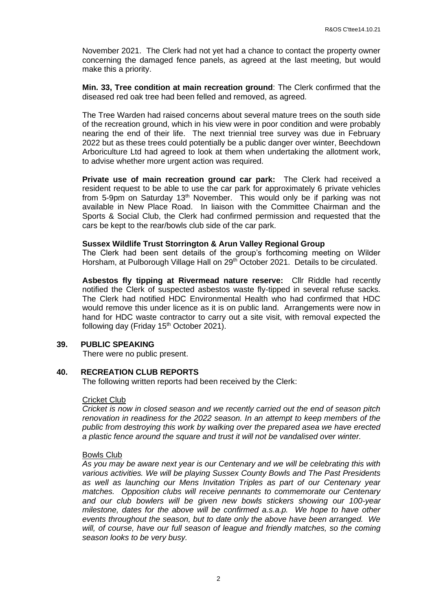November 2021. The Clerk had not yet had a chance to contact the property owner concerning the damaged fence panels, as agreed at the last meeting, but would make this a priority.

**Min. 33, Tree condition at main recreation ground**: The Clerk confirmed that the diseased red oak tree had been felled and removed, as agreed.

The Tree Warden had raised concerns about several mature trees on the south side of the recreation ground, which in his view were in poor condition and were probably nearing the end of their life. The next triennial tree survey was due in February 2022 but as these trees could potentially be a public danger over winter, Beechdown Arboriculture Ltd had agreed to look at them when undertaking the allotment work, to advise whether more urgent action was required.

**Private use of main recreation ground car park:** The Clerk had received a resident request to be able to use the car park for approximately 6 private vehicles from 5-9pm on Saturday 13<sup>th</sup> November. This would only be if parking was not available in New Place Road. In liaison with the Committee Chairman and the Sports & Social Club, the Clerk had confirmed permission and requested that the cars be kept to the rear/bowls club side of the car park.

#### **Sussex Wildlife Trust Storrington & Arun Valley Regional Group**

The Clerk had been sent details of the group's forthcoming meeting on Wilder Horsham, at Pulborough Village Hall on 29<sup>th</sup> October 2021. Details to be circulated.

**Asbestos fly tipping at Rivermead nature reserve:** Cllr Riddle had recently notified the Clerk of suspected asbestos waste fly-tipped in several refuse sacks. The Clerk had notified HDC Environmental Health who had confirmed that HDC would remove this under licence as it is on public land. Arrangements were now in hand for HDC waste contractor to carry out a site visit, with removal expected the following day (Friday  $15<sup>th</sup>$  October 2021).

### **39. PUBLIC SPEAKING**

There were no public present.

### **40. RECREATION CLUB REPORTS**

The following written reports had been received by the Clerk:

#### Cricket Club

*Cricket is now in closed season and we recently carried out the end of season pitch renovation in readiness for the 2022 season. In an attempt to keep members of the public from destroying this work by walking over the prepared asea we have erected a plastic fence around the square and trust it will not be vandalised over winter.*

#### Bowls Club

*As you may be aware next year is our Centenary and we will be celebrating this with various activities. We will be playing Sussex County Bowls and The Past Presidents as well as launching our Mens Invitation Triples as part of our Centenary year matches. Opposition clubs will receive pennants to commemorate our Centenary and our club bowlers will be given new bowls stickers showing our 100-year milestone, dates for the above will be confirmed a.s.a.p. We hope to have other events throughout the season, but to date only the above have been arranged. We will, of course, have our full season of league and friendly matches, so the coming season looks to be very busy.*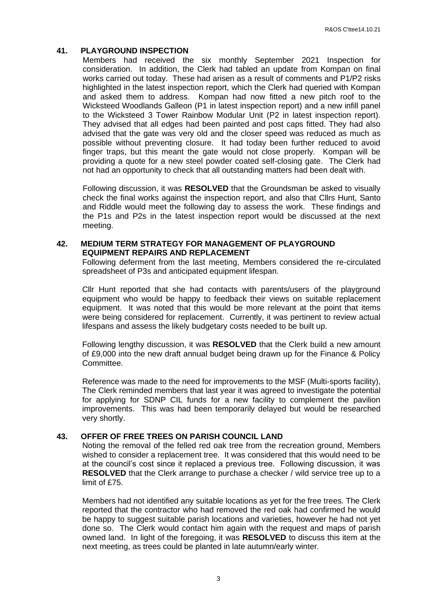## **41. PLAYGROUND INSPECTION**

Members had received the six monthly September 2021 Inspection for consideration. In addition, the Clerk had tabled an update from Kompan on final works carried out today. These had arisen as a result of comments and P1/P2 risks highlighted in the latest inspection report, which the Clerk had queried with Kompan and asked them to address. Kompan had now fitted a new pitch roof to the Wicksteed Woodlands Galleon (P1 in latest inspection report) and a new infill panel to the Wicksteed 3 Tower Rainbow Modular Unit (P2 in latest inspection report). They advised that all edges had been painted and post caps fitted. They had also advised that the gate was very old and the closer speed was reduced as much as possible without preventing closure. It had today been further reduced to avoid finger traps, but this meant the gate would not close properly. Kompan will be providing a quote for a new steel powder coated self-closing gate. The Clerk had not had an opportunity to check that all outstanding matters had been dealt with.

Following discussion, it was **RESOLVED** that the Groundsman be asked to visually check the final works against the inspection report, and also that Cllrs Hunt, Santo and Riddle would meet the following day to assess the work. These findings and the P1s and P2s in the latest inspection report would be discussed at the next meeting.

### **42. MEDIUM TERM STRATEGY FOR MANAGEMENT OF PLAYGROUND EQUIPMENT REPAIRS AND REPLACEMENT**

Following deferment from the last meeting, Members considered the re-circulated spreadsheet of P3s and anticipated equipment lifespan.

Cllr Hunt reported that she had contacts with parents/users of the playground equipment who would be happy to feedback their views on suitable replacement equipment. It was noted that this would be more relevant at the point that items were being considered for replacement. Currently, it was pertinent to review actual lifespans and assess the likely budgetary costs needed to be built up.

Following lengthy discussion, it was **RESOLVED** that the Clerk build a new amount of £9,000 into the new draft annual budget being drawn up for the Finance & Policy Committee.

Reference was made to the need for improvements to the MSF (Multi-sports facility), The Clerk reminded members that last year it was agreed to investigate the potential for applying for SDNP CIL funds for a new facility to complement the pavilion improvements. This was had been temporarily delayed but would be researched very shortly.

### **43. OFFER OF FREE TREES ON PARISH COUNCIL LAND**

Noting the removal of the felled red oak tree from the recreation ground, Members wished to consider a replacement tree. It was considered that this would need to be at the council's cost since it replaced a previous tree. Following discussion, it was **RESOLVED** that the Clerk arrange to purchase a checker / wild service tree up to a limit of £75.

Members had not identified any suitable locations as yet for the free trees. The Clerk reported that the contractor who had removed the red oak had confirmed he would be happy to suggest suitable parish locations and varieties, however he had not yet done so. The Clerk would contact him again with the request and maps of parish owned land. In light of the foregoing, it was **RESOLVED** to discuss this item at the next meeting, as trees could be planted in late autumn/early winter.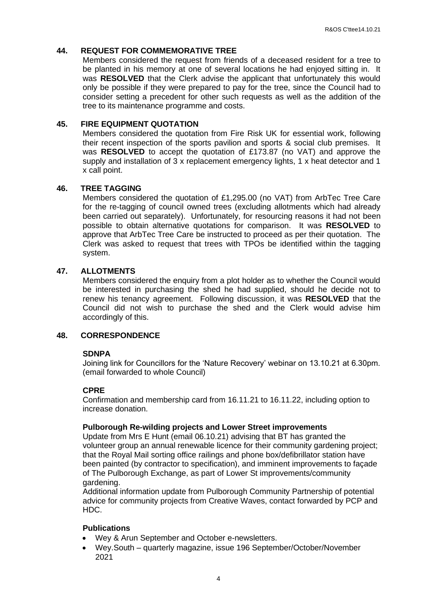#### **44. REQUEST FOR COMMEMORATIVE TREE**

Members considered the request from friends of a deceased resident for a tree to be planted in his memory at one of several locations he had enjoyed sitting in. It was **RESOLVED** that the Clerk advise the applicant that unfortunately this would only be possible if they were prepared to pay for the tree, since the Council had to consider setting a precedent for other such requests as well as the addition of the tree to its maintenance programme and costs.

#### **45. FIRE EQUIPMENT QUOTATION**

Members considered the quotation from Fire Risk UK for essential work, following their recent inspection of the sports pavilion and sports & social club premises. It was **RESOLVED** to accept the quotation of £173.87 (no VAT) and approve the supply and installation of 3 x replacement emergency lights, 1 x heat detector and 1 x call point.

### **46. TREE TAGGING**

Members considered the quotation of £1,295.00 (no VAT) from ArbTec Tree Care for the re-tagging of council owned trees (excluding allotments which had already been carried out separately). Unfortunately, for resourcing reasons it had not been possible to obtain alternative quotations for comparison. It was **RESOLVED** to approve that ArbTec Tree Care be instructed to proceed as per their quotation. The Clerk was asked to request that trees with TPOs be identified within the tagging system.

#### **47. ALLOTMENTS**

Members considered the enquiry from a plot holder as to whether the Council would be interested in purchasing the shed he had supplied, should he decide not to renew his tenancy agreement. Following discussion, it was **RESOLVED** that the Council did not wish to purchase the shed and the Clerk would advise him accordingly of this.

#### **48. CORRESPONDENCE**

### **SDNPA**

Joining link for Councillors for the 'Nature Recovery' webinar on 13.10.21 at 6.30pm. (email forwarded to whole Council)

#### **CPRE**

Confirmation and membership card from 16.11.21 to 16.11.22, including option to increase donation.

#### **Pulborough Re-wilding projects and Lower Street improvements**

Update from Mrs E Hunt (email 06.10.21) advising that BT has granted the volunteer group an annual renewable licence for their community gardening project; that the Royal Mail sorting office railings and phone box/defibrillator station have been painted (by contractor to specification), and imminent improvements to façade of The Pulborough Exchange, as part of Lower St improvements/community gardening.

Additional information update from Pulborough Community Partnership of potential advice for community projects from Creative Waves, contact forwarded by PCP and HDC.

## **Publications**

- Wey & Arun September and October e-newsletters.
- Wey.South quarterly magazine, issue 196 September/October/November 2021